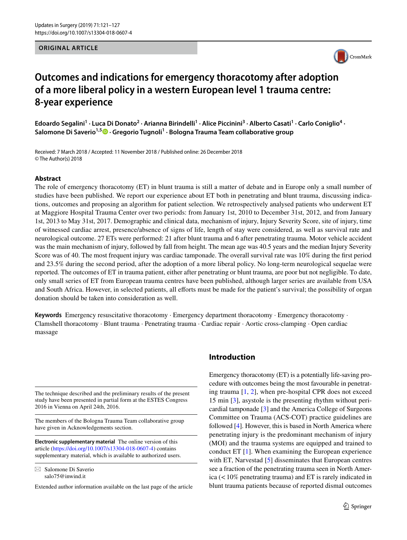#### **ORIGINAL ARTICLE**



# **Outcomes and indications for emergency thoracotomy after adoption of a more liberal policy in a western European level 1 trauma centre: 8‑year experience**

Edoardo Segalini<sup>1</sup> · Luca Di Donato<sup>2</sup> · Arianna Birindelli<sup>1</sup> · Alice Piccinini<sup>3</sup> · Alberto Casati<sup>1</sup> · Carlo Coniglio<sup>4</sup> · **Salomone Di Saverio1,5 · Gregorio Tugnoli1 · Bologna Trauma Team collaborative group**

Received: 7 March 2018 / Accepted: 11 November 2018 / Published online: 26 December 2018 © The Author(s) 2018

#### **Abstract**

The role of emergency thoracotomy (ET) in blunt trauma is still a matter of debate and in Europe only a small number of studies have been published. We report our experience about ET both in penetrating and blunt trauma, discussing indications, outcomes and proposing an algorithm for patient selection. We retrospectively analysed patients who underwent ET at Maggiore Hospital Trauma Center over two periods: from January 1st, 2010 to December 31st, 2012, and from January 1st, 2013 to May 31st, 2017. Demographic and clinical data, mechanism of injury, Injury Severity Score, site of injury, time of witnessed cardiac arrest, presence/absence of signs of life, length of stay were considered, as well as survival rate and neurological outcome. 27 ETs were performed: 21 after blunt trauma and 6 after penetrating trauma. Motor vehicle accident was the main mechanism of injury, followed by fall from height. The mean age was 40.5 years and the median Injury Severity Score was of 40. The most frequent injury was cardiac tamponade. The overall survival rate was 10% during the frst period and 23.5% during the second period, after the adoption of a more liberal policy. No long-term neurological sequelae were reported. The outcomes of ET in trauma patient, either after penetrating or blunt trauma, are poor but not negligible. To date, only small series of ET from European trauma centres have been published, although larger series are available from USA and South Africa. However, in selected patients, all efforts must be made for the patient's survival; the possibility of organ donation should be taken into consideration as well.

**Keywords** Emergency resuscitative thoracotomy · Emergency department thoracotomy · Emergency thoracotomy · Clamshell thoracotomy · Blunt trauma · Penetrating trauma · Cardiac repair · Aortic cross-clamping · Open cardiac massage

The technique described and the preliminary results of the present study have been presented in partial form at the ESTES Congress 2016 in Vienna on April 24th, 2016.

The members of the Bologna Trauma Team collaborative group have given in Acknowledgements section.

**Electronic supplementary material** The online version of this article [\(https://doi.org/10.1007/s13304-018-0607-4\)](https://doi.org/10.1007/s13304-018-0607-4) contains supplementary material, which is available to authorized users.

 $\boxtimes$  Salomone Di Saverio salo75@inwind.it

Extended author information available on the last page of the article

### **Introduction**

Emergency thoracotomy (ET) is a potentially life-saving procedure with outcomes being the most favourable in penetrating trauma [\[1,](#page-6-0) [2](#page-6-1)], when pre-hospital CPR does not exceed 15 min [[3\]](#page-6-2), asystole is the presenting rhythm without pericardial tamponade [\[3](#page-6-2)] and the America College of Surgeons Committee on Trauma (ACS-COT) practice guidelines are followed [\[4\]](#page-6-3). However, this is based in North America where penetrating injury is the predominant mechanism of injury (MOI) and the trauma systems are equipped and trained to conduct ET [[1](#page-6-0)]. When examining the European experience with ET, Narvestad [[5\]](#page-6-4) disseminates that European centres see a fraction of the penetrating trauma seen in North America  $\left($  < 10% penetrating trauma) and ET is rarely indicated in blunt trauma patients because of reported dismal outcomes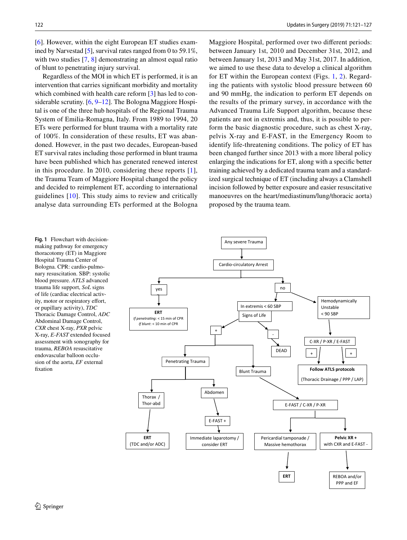[\[6](#page-6-5)]. However, within the eight European ET studies examined by Narvestad [\[5](#page-6-4)], survival rates ranged from 0 to 59.1%, with two studies [\[7](#page-6-6), [8](#page-6-7)] demonstrating an almost equal ratio of blunt to penetrating injury survival.

Regardless of the MOI in which ET is performed, it is an intervention that carries signifcant morbidity and mortality which combined with health care reform [[3\]](#page-6-2) has led to considerable scrutiny. [[6,](#page-6-5) [9–](#page-6-8)[12\]](#page-6-9). The Bologna Maggiore Hospital is one of the three hub hospitals of the Regional Trauma System of Emilia-Romagna, Italy. From 1989 to 1994, 20 ETs were performed for blunt trauma with a mortality rate of 100%. In consideration of these results, ET was abandoned. However, in the past two decades, European-based ET survival rates including those performed in blunt trauma have been published which has generated renewed interest in this procedure. In 2010, considering these reports [[1](#page-6-0)], the Trauma Team of Maggiore Hospital changed the policy and decided to reimplement ET, according to international guidelines [[10](#page-6-10)]. This study aims to review and critically analyse data surrounding ETs performed at the Bologna Maggiore Hospital, performed over two diferent periods: between January 1st, 2010 and December 31st, 2012, and between January 1st, 2013 and May 31st, 2017. In addition, we aimed to use these data to develop a clinical algorithm for ET within the European context (Figs. [1](#page-1-0), [2](#page-2-0)). Regarding the patients with systolic blood pressure between 60 and 90 mmHg, the indication to perform ET depends on the results of the primary survey, in accordance with the Advanced Trauma Life Support algorithm, because these patients are not in extremis and, thus, it is possible to perform the basic diagnostic procedure, such as chest X-ray, pelvis X-ray and E-FAST, in the Emergency Room to identify life-threatening conditions. The policy of ET has been changed further since 2013 with a more liberal policy enlarging the indications for ET, along with a specifc better training achieved by a dedicated trauma team and a standardized surgical technique of ET (including always a Clamshell incision followed by better exposure and easier resuscitative manoeuvres on the heart/mediastinum/lung/thoracic aorta) proposed by the trauma team.

<span id="page-1-0"></span>**Fig. 1** Flowchart with decisionmaking pathway for emergency thoracotomy (ET) in Maggiore Hospital Trauma Center of Bologna. CPR: cardio-pulmonary resuscitation. SBP: systolic blood pressure. *ATLS* advanced trauma life support, *SoL* signs of life (cardiac electrical activity, motor or respiratory effort, or pupillary activity), *TDC* Thoracic Damage Control, *ADC* Abdominal Damage Control, *CXR* chest X-ray, *PXR* pelvic X-ray, *E-FAST* extended focused assessment with sonography for trauma, *REBOA* resuscitative endovascular balloon occlusion of the aorta, *EF* external fxation

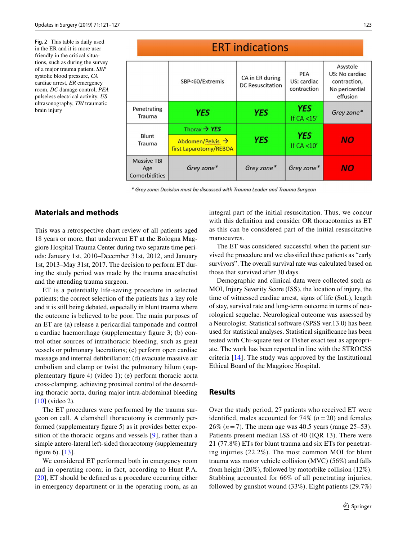<span id="page-2-0"></span>**Fig. 2** This table is daily used in the ER and it is more user friendly in the critical situations, such as during the survey of a major trauma patient. *SBP* systolic blood pressure, *CA* cardiac arrest, *ER* emergency room, *DC* damage control, *PEA* pulseless electrical activity, *US* ultrasonography, *TBI* traumatic brain injury

#### **ERT** indications Asystole PEA US: No cardiac CA in ER during SBP<60/Extremis US: cardiac contraction, **DC** Resuscitation contraction No pericardial effusion **YES** Penetrating **YES YES** Grey zone\* Trauma If  $CA < 15'$ Thorax  $\rightarrow$  YES **YES** Blunt YES NO Abdomen/Pelvis → Trauma If  $CA < 10'$ first Laparotomy/REBOA **Massive TBI** Grey zone\* Grey zone\* Grey zone\* NO Age

\* Grey zone: Decision must be discussed with Trauma Leader and Trauma Surgeon

# **Materials and methods**

This was a retrospective chart review of all patients aged 18 years or more, that underwent ET at the Bologna Maggiore Hospital Trauma Center during two separate time periods: January 1st, 2010–December 31st, 2012, and January 1st, 2013–May 31st, 2017. The decision to perform ET during the study period was made by the trauma anaesthetist and the attending trauma surgeon.

Comorbidities

ET is a potentially life-saving procedure in selected patients; the correct selection of the patients has a key role and it is still being debated, especially in blunt trauma where the outcome is believed to be poor. The main purposes of an ET are (a) release a pericardial tamponade and control a cardiac haemorrhage (supplementary fgure 3; (b) control other sources of intrathoracic bleeding, such as great vessels or pulmonary lacerations; (c) perform open cardiac massage and internal defbrillation; (d) evacuate massive air embolism and clamp or twist the pulmonary hilum (supplementary fgure 4) (video 1); (e) perform thoracic aorta cross-clamping, achieving proximal control of the descending thoracic aorta, during major intra-abdominal bleeding [\[10\]](#page-6-10) (video 2).

The ET procedures were performed by the trauma surgeon on call. A clamshell thoracotomy is commonly performed (supplementary fgure 5) as it provides better exposition of the thoracic organs and vessels [[9](#page-6-8)], rather than a simple antero-lateral left-sided thoracotomy (supplementary fgure 6). [[13\]](#page-6-11).

We considered ET performed both in emergency room and in operating room; in fact, according to Hunt P.A. [\[20\]](#page-6-12), ET should be defned as a procedure occurring either in emergency department or in the operating room, as an integral part of the initial resuscitation. Thus, we concur with this definition and consider OR thoracotomies as ET as this can be considered part of the initial resuscitative manoeuvres.

The ET was considered successful when the patient survived the procedure and we classifed these patients as "early survivors". The overall survival rate was calculated based on those that survived after 30 days.

Demographic and clinical data were collected such as MOI, Injury Severity Score (ISS), the location of injury, the time of witnessed cardiac arrest, signs of life (SoL), length of stay, survival rate and long-term outcome in terms of neurological sequelae. Neurological outcome was assessed by a Neurologist. Statistical software (SPSS ver.13.0) has been used for statistical analyses. Statistical signifcance has been tested with Chi-square test or Fisher exact test as appropriate. The work has been reported in line with the STROCSS criteria [\[14\]](#page-6-13). The study was approved by the Institutional Ethical Board of the Maggiore Hospital.

#### **Results**

Over the study period, 27 patients who received ET were identified, males accounted for  $74\%$   $(n=20)$  and females 26% (*n*=7). The mean age was 40.5 years (range 25–53). Patients present median ISS of 40 (IQR 13). There were 21 (77.8%) ETs for blunt trauma and six ETs for penetrating injuries (22.2%). The most common MOI for blunt trauma was motor vehicle collision (MVC) (56%) and falls from height (20%), followed by motorbike collision (12%). Stabbing accounted for 66% of all penetrating injuries, followed by gunshot wound (33%). Eight patients (29.7%)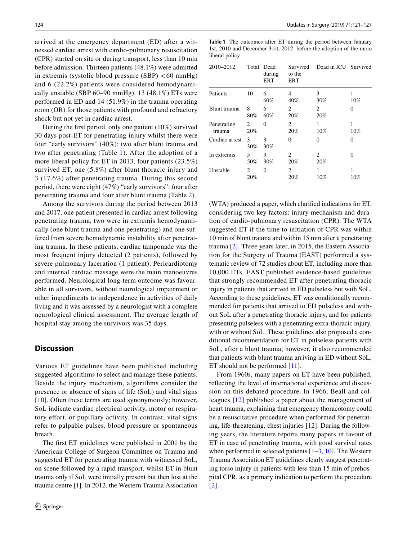arrived at the emergency department (ED) after a witnessed cardiac arrest with cardio-pulmonary resuscitation (CPR) started on site or during transport, less than 10 min before admission. Thirteen patients (48.1%) were admitted in extremis (systolic blood pressure (SBP) < 60 mmHg) and 6 (22.2%) patients were considered hemodynamically unstable (SBP  $60-90$  mmHg). 13  $(48.1\%)$  ETs were performed in ED and 14 (51.9%) in the trauma operating room (OR) for those patients with profound and refractory shock but not yet in cardiac arrest.

During the frst period, only one patient (10%) survived 30 days post-ET for penetrating injury whilst there were four "early survivors" (40%): two after blunt trauma and two after penetrating (Table [1](#page-3-0)). After the adoption of a more liberal policy for ET in 2013, four patients (23.5%) survived ET, one (5.8%) after blunt thoracic injury and 3 (17.6%) after penetrating trauma. During this second period, there were eight (47%) "early survivors": four after penetrating trauma and four after blunt trauma (Table [2](#page-4-0)).

Among the survivors during the period between 2013 and 2017, one patient presented in cardiac arrest following penetrating trauma, two were in extremis hemodynamically (one blunt trauma and one penetrating) and one suffered from severe hemodynamic instability after penetrating trauma. In these patients, cardiac tamponade was the most frequent injury detected (2 patients), followed by severe pulmonary laceration (1 patient). Pericardiotomy and internal cardiac massage were the main manoeuvres performed. Neurological long-term outcome was favourable in all survivors, without neurological impairment or other impediments to independence in activities of daily living and it was assessed by a neurologist with a complete neurological clinical assessment. The average length of hospital stay among the survivors was 35 days.

#### **Discussion**

Various ET guidelines have been published including suggested algorithms to select and manage these patients. Beside the injury mechanism, algorithms consider the presence or absence of signs of life (SoL) and vital signs [[10\]](#page-6-10). Often these terms are used synonymously; however, SoL indicate cardiac electrical activity, motor or respiratory effort, or pupillary activity. In contrast, vital signs refer to palpable pulses, blood pressure or spontaneous breath.

The frst ET guidelines were published in 2001 by the American College of Surgeon Committee on Trauma and suggested ET for penetrating trauma with witnessed SoL, on scene followed by a rapid transport, whilst ET in blunt trauma only if SoL were initially present but then lost at the trauma centre [[1\]](#page-6-0). In 2012, the Western Trauma Association <span id="page-3-0"></span>**Table 1** The outcomes after ET during the period between January 1st, 2010 and December 31st, 2012, before the adoption of the more liberal policy

| 2010-2012             |                       | Total Dead<br>during<br>ERT | Survived<br>to the<br>ERT          | Dead in ICU Survived |             |
|-----------------------|-----------------------|-----------------------------|------------------------------------|----------------------|-------------|
| Patients              | 10                    | 6<br>60%                    | 4<br>40%                           | 3<br>30%             | $10\%$      |
| Blunt trauma          | 8<br>80%              | 6<br>60%                    | 2<br>20%                           | 2<br>20%             | 0           |
| Penetrating<br>trauma | 2<br>20%              | 0                           | 2<br>20%                           | 1<br>10%             | 1<br>10%    |
| Cardiac arrest        | 3<br>30%              | 3<br>30%                    | 0                                  | 0                    | 0           |
| In extremis           | 5<br>50%              | 3<br>30%                    | $\mathcal{D}_{\mathcal{L}}$<br>20% | 2<br>20%             | 0           |
| Unstable              | $\mathfrak{D}$<br>20% | 0                           | $\mathfrak{D}$<br>20%              | 1<br>10%             | 1<br>$10\%$ |

(WTA) produced a paper, which clarifed indications for ET, considering two key factors: injury mechanism and duration of cardio-pulmonary resuscitation (CPR). The WTA suggested ET if the time to initiation of CPR was within 10 min of blunt trauma and within 15 min after a penetrating trauma [[2](#page-6-1)]. Three years later, in 2015, the Eastern Association for the Surgery of Trauma (EAST) performed a systematic review of 72 studies about ET, including more than 10,000 ETs. EAST published evidence-based guidelines that strongly recommended ET after penetrating thoracic injury in patients that arrived in ED pulseless but with SoL. According to these guidelines, ET was conditionally recommended for patients that arrived to ED pulseless and without SoL after a penetrating thoracic injury, and for patients presenting pulseless with a penetrating extra-thoracic injury, with or without SoL. These guidelines also proposed a conditional recommendation for ET in pulseless patients with SoL, after a blunt trauma; however, it also recommended that patients with blunt trauma arriving in ED without SoL, ET should not be performed [\[11\]](#page-6-14).

From 1960s, many papers on ET have been published, refecting the level of international experience and discussion on this debated procedure. In 1966, Beall and colleagues [[12](#page-6-9)] published a paper about the management of heart trauma, explaining that emergency thoracotomy could be a resuscitative procedure when performed for penetrating, life-threatening, chest injuries [[12\]](#page-6-9). During the following years, the literature reports many papers in favour of ET in case of penetrating trauma, with good survival rates when performed in selected patients  $[1–3, 10]$  $[1–3, 10]$  $[1–3, 10]$  $[1–3, 10]$  $[1–3, 10]$ . The Western Trauma Association ET guidelines clearly suggest penetrating torso injury in patients with less than 15 min of prehospital CPR, as a primary indication to perform the procedure [[2\]](#page-6-1).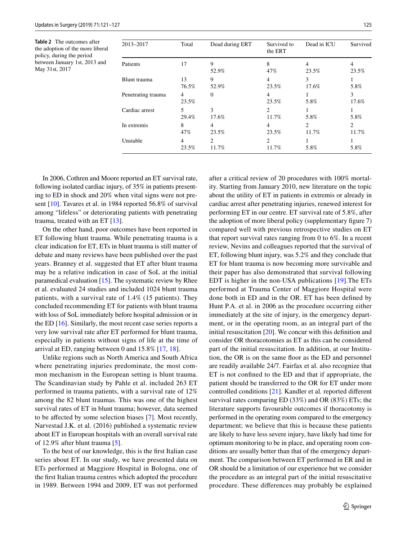<span id="page-4-0"></span>**Table 2** The outcomes after the adoption of the more liberal policy, during the period between January 1st, 2013 and May 31st, 2017

| 2013-2017          | Total                   | Dead during ERT                        | Survived to<br>the ERT | Dead in ICU | Survived                |
|--------------------|-------------------------|----------------------------------------|------------------------|-------------|-------------------------|
| Patients           | 17                      | 9<br>52.9%                             | 8<br>47%               | 4<br>23.5%  | 4<br>23.5%              |
| Blunt trauma       | 13<br>76.5%             | 9<br>52.9%                             | 4<br>23.5%             | 3<br>17.6%  | 5.8%                    |
| Penetrating trauma | $\overline{4}$<br>23.5% | $\Omega$                               | 4<br>23.5%             | 5.8%        | 3<br>17.6%              |
| Cardiac arrest     | 5<br>29.4%              | 3<br>17.6%                             | 2<br>11.7%             | 5.8%        | 5.8%                    |
| In extremis        | 8<br>47%                | 4<br>23.5%                             | 4<br>23.5%             | 2<br>11.7%  | $\overline{c}$<br>11.7% |
| Unstable           | 4<br>23.5%              | $\mathfrak{D}_{\mathfrak{p}}$<br>11.7% | 2<br>11.7%             | 5.8%        | 5.8%                    |

In 2006, Cothren and Moore reported an ET survival rate, following isolated cardiac injury, of 35% in patients presenting to ED in shock and 20% when vital signs were not present [\[10](#page-6-10)]. Tavares et al. in 1984 reported 56.8% of survival among "lifeless" or deteriorating patients with penetrating trauma, treated with an ET [[13\]](#page-6-11).

On the other hand, poor outcomes have been reported in ET following blunt trauma. While penetrating trauma is a clear indication for ET, ETs in blunt trauma is still matter of debate and many reviews have been published over the past years. Branney et al. suggested that ET after blunt trauma may be a relative indication in case of SoL at the initial paramedical evaluation [\[15](#page-6-15)]. The systematic review by Rhee et al. evaluated 24 studies and included 1024 blunt trauma patients, with a survival rate of 1.4% (15 patients). They concluded recommending ET for patients with blunt trauma with loss of SoL immediately before hospital admission or in the ED [[16](#page-6-16)]. Similarly, the most recent case series reports a very low survival rate after ET performed for blunt trauma, especially in patients without signs of life at the time of arrival at ED, ranging between 0 and 15.8% [[17](#page-6-17), [18](#page-6-18)].

Unlike regions such as North America and South Africa where penetrating injuries predominate, the most common mechanism in the European setting is blunt trauma. The Scandinavian study by Pahle et al. included 263 ET performed in trauma patients, with a survival rate of 12% among the 82 blunt traumas. This was one of the highest survival rates of ET in blunt trauma; however, data seemed to be afected by some selection biases [[7\]](#page-6-6). Most recently, Narvestad J.K. et al. (2016) published a systematic review about ET in European hospitals with an overall survival rate of 12.9% after blunt trauma [[5\]](#page-6-4).

To the best of our knowledge, this is the frst Italian case series about ET. In our study, we have presented data on ETs performed at Maggiore Hospital in Bologna, one of the frst Italian trauma centres which adopted the procedure in 1989. Between 1994 and 2009, ET was not performed after a critical review of 20 procedures with 100% mortality. Starting from January 2010, new literature on the topic about the utility of ET in patients in extremis or already in cardiac arrest after penetrating injuries, renewed interest for performing ET in our centre. ET survival rate of 5.8%, after the adoption of more liberal policy (supplementary fgure 7) compared well with previous retrospective studies on ET that report survival rates ranging from 0 to 6%. In a recent review, Nevins and colleagues reported that the survival of ET, following blunt injury, was 5.2% and they conclude that ET for blunt trauma is now becoming more survivable and their paper has also demonstrated that survival following EDT is higher in the non-USA publications [[19](#page-6-19)].The ETs performed at Trauma Center of Maggiore Hospital were done both in ED and in the OR. ET has been defned by Hunt P.A. et al. in 2006 as the procedure occurring either immediately at the site of injury, in the emergency department, or in the operating room, as an integral part of the initial resuscitation [\[20](#page-6-12)]. We concur with this defnition and consider OR thoracotomies as ET as this can be considered part of the initial resuscitation. In addition, at our Institution, the OR is on the same foor as the ED and personnel are readily available 24/7. Fairfax et al. also recognize that ET is not confned to the ED and that if appropriate, the patient should be transferred to the OR for ET under more controlled conditions [[21\]](#page-6-20). Kandler et al. reported diferent survival rates comparing ED (33%) and OR (83%) ETs; the literature supports favourable outcomes if thoracotomy is performed in the operating room compared to the emergency department; we believe that this is because these patients are likely to have less severe injury, have likely had time for optimum monitoring to be in place, and operating room conditions are usually better than that of the emergency department. The comparison between ET performed in ER and in OR should be a limitation of our experience but we consider the procedure as an integral part of the initial resuscitative procedure. These diferences may probably be explained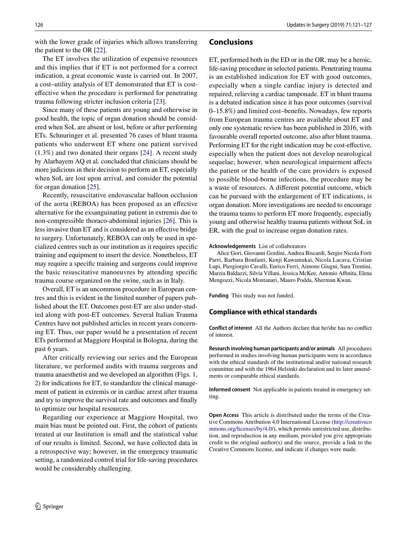The ET involves the utilization of expensive resources and this implies that if ET is not performed for a correct indication, a great economic waste is carried out. In 2007, a cost–utility analysis of ET demonstrated that ET is costefective when the procedure is performed for penetrating trauma following stricter inclusion criteria [[23\]](#page-6-22).

Since many of these patients are young and otherwise in good health, the topic of organ donation should be considered when SoL are absent or lost, before or after performing ETs. Schnuringer et al. presented 76 cases of blunt trauma patients who underwent ET where one patient survived (1.3%) and two donated their organs [[24](#page-6-23)]. A recent study by Alarhayem AQ et al. concluded that clinicians should be more judicious in their decision to perform an ET, especially when SoL are lost upon arrival, and consider the potential for organ donation [\[25](#page-6-24)].

Recently, resuscitative endovascular balloon occlusion of the aorta (REBOA) has been proposed as an efective alternative for the exsanguinating patient in extremis due to non-compressible thoraco-abdominal injuries [[26\]](#page-6-25). This is less invasive than ET and is considered as an efective bridge to surgery. Unfortunately, REBOA can only be used in specialized centres such as our institution as it requires specifc training and equipment to insert the device. Nonetheless, ET may require a specifc training and surgeons could improve the basic resuscitative manoeuvres by attending specifc trauma course organized on the swine, such as in Italy.

Overall, ET is an uncommon procedure in European centres and this is evident in the limited number of papers published about the ET. Outcomes post-ET are also under-studied along with post-ET outcomes. Several Italian Trauma Centres have not published articles in recent years concerning ET. Thus, our paper would be a presentation of recent ETs performed at Maggiore Hospital in Bologna, during the past 6 years.

After critically reviewing our series and the European literature, we performed audits with trauma surgeons and trauma anaesthetist and we developed an algorithm (Figs. [1,](#page-1-0) [2](#page-2-0)) for indications for ET, to standardize the clinical management of patient in extremis or in cardiac arrest after trauma and try to improve the survival rate and outcomes and fnally to optimize our hospital resources.

Regarding our experience at Maggiore Hospital, two main bias must be pointed out. First, the cohort of patients treated at our Institution is small and the statistical value of our results is limited. Second, we have collected data in a retrospective way; however, in the emergency traumatic setting, a randomized control trial for life-saving procedures would be considerably challenging.

## **Conclusions**

ET, performed both in the ED or in the OR, may be a heroic, life-saving procedure in selected patients. Penetrating trauma is an established indication for ET with good outcomes, especially when a single cardiac injury is detected and repaired, relieving a cardiac tamponade. ET in blunt trauma is a debated indication since it has poor outcomes (survival 0–15.8%) and limited cost–benefts. Nowadays, few reports from European trauma centres are available about ET and only one systematic review has been published in 2016, with favourable overall reported outcome, also after blunt trauma. Performing ET for the right indication may be cost-efective, especially when the patient does not develop neurological sequelae; however, when neurological impairment afects the patient or the health of the care providers is exposed to possible blood-borne infections, the procedure may be a waste of resources. A diferent potential outcome, which can be pursued with the enlargement of ET indications, is organ donation. More investigations are needed to encourage the trauma teams to perform ET more frequently, especially young and otherwise healthy trauma patients without SoL in ER, with the goal to increase organ donation rates.

#### **Acknowledgements** List of collaborators

Alice Gori, Giovanni Gordini, Andrea Biscardi, Sergio Nicola Forti Parri, Barbara Bonfanti, Kenji Kawamukai, Nicola Lacava, Cristian Lupi, Piergiorgio Cavalli, Enrico Ferri, Aimone Giugni, Sara Trentini, Marzia Baldazzi, Silvia Villani, Jessica McKee, Antonio Afnita, Elena Mengozzi, Nicola Montanari, Mauro Podda, Sherman Kwan.

**Funding** This study was not funded.

#### **Compliance with ethical standards**

**Conflict of interest** All the Authors declare that he/she has no confict of interest.

**Research involving human participants and/or animals** All procedures performed in studies involving human participants were in accordance with the ethical standards of the institutional and/or national research committee and with the 1964 Helsinki declaration and its later amendments or comparable ethical standards.

**Informed consent** Not applicable in patients treated in emergency setting.

**Open Access** This article is distributed under the terms of the Creative Commons Attribution 4.0 International License ([http://creativeco](http://creativecommons.org/licenses/by/4.0/) [mmons.org/licenses/by/4.0/](http://creativecommons.org/licenses/by/4.0/)), which permits unrestricted use, distribution, and reproduction in any medium, provided you give appropriate credit to the original author(s) and the source, provide a link to the Creative Commons license, and indicate if changes were made.